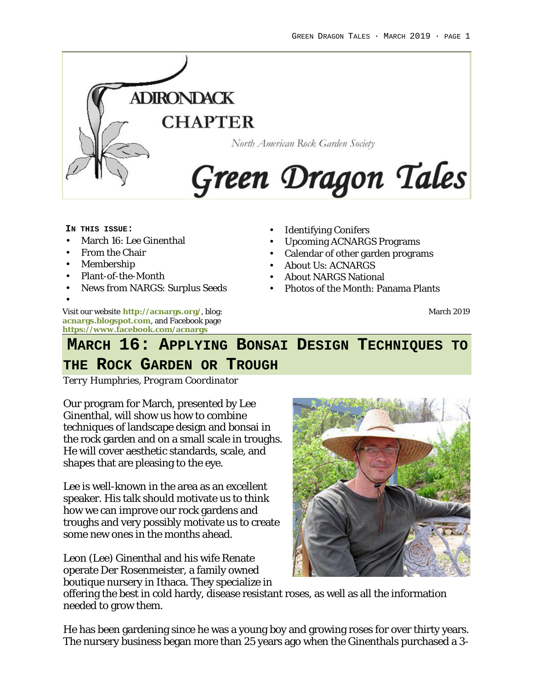

#### **IN THIS ISSUE:**

- March 16: Lee Ginenthal
- From the Chair
- Membership
- Plant-of-the-Month
- News from NARGS: Surplus Seeds

Visit our website **http://acnargs.org/**, blog: **acnargs.blogspot.com**, and Facebook page **https://www.facebook.com/acnargs** •

- **Identifying Conifers**
- Upcoming ACNARGS Programs
- Calendar of other garden programs
- About Us: ACNARGS
- About NARGS National
- Photos of the Month: Panama Plants

March 2019

# **MARCH 16: APPLYING BONSAI DESIGN TECHNIQUES TO**

### **THE ROCK GARDEN OR TROUGH**

*Terry Humphries, Program Coordinator*

Our program for March, presented by Lee Ginenthal, will show us how to combine techniques of landscape design and bonsai in the rock garden and on a small scale in troughs. He will cover aesthetic standards, scale, and shapes that are pleasing to the eye.

Lee is well-known in the area as an excellent speaker. His talk should motivate us to think how we can improve our rock gardens and troughs and very possibly motivate us to create some new ones in the months ahead.

Leon (Lee) Ginenthal and his wife Renate operate Der Rosenmeister, a family owned boutique nursery in Ithaca. They specialize in



offering the best in cold hardy, disease resistant roses, as well as all the information needed to grow them.

He has been gardening since he was a young boy and growing roses for over thirty years. The nursery business began more than 25 years ago when the Ginenthals purchased a 3-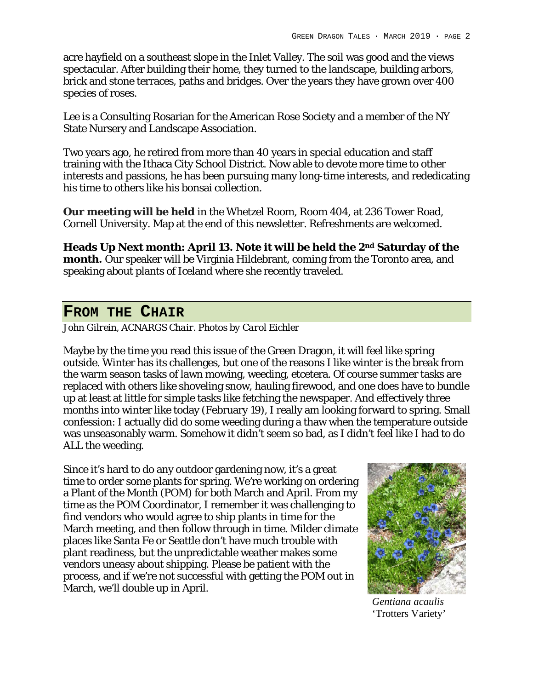acre hayfield on a southeast slope in the Inlet Valley. The soil was good and the views spectacular. After building their home, they turned to the landscape, building arbors, brick and stone terraces, paths and bridges. Over the years they have grown over 400 species of roses.

Lee is a Consulting Rosarian for the American Rose Society and a member of the NY State Nursery and Landscape Association.

Two years ago, he retired from more than 40 years in special education and staff training with the Ithaca City School District. Now able to devote more time to other interests and passions, he has been pursuing many long-time interests, and rededicating his time to others like his bonsai collection.

**Our meeting will be held** in the Whetzel Room, Room 404, at 236 Tower Road, Cornell University. Map at the end of this newsletter. Refreshments are welcomed.

**Heads Up Next month: April 13. Note it will be held the 2nd Saturday of the month.** Our speaker will be Virginia Hildebrant, coming from the Toronto area, and speaking about plants of Iceland where she recently traveled.

### **FROM THE CHAIR**

*John Gilrein, ACNARGS Chair. Photos by Carol Eichler*

Maybe by the time you read this issue of the Green Dragon, it will feel like spring outside. Winter has its challenges, but one of the reasons I like winter is the break from the warm season tasks of lawn mowing, weeding, etcetera. Of course summer tasks are replaced with others like shoveling snow, hauling firewood, and one does have to bundle up at least at little for simple tasks like fetching the newspaper. And effectively three months into winter like today (February 19), I really am looking forward to spring. Small confession: I actually did do some weeding during a thaw when the temperature outside was unseasonably warm. Somehow it didn't seem so bad, as I didn't feel like I had to do ALL the weeding.

Since it's hard to do any outdoor gardening now, it's a great time to order some plants for spring. We're working on ordering a Plant of the Month (POM) for both March and April. From my time as the POM Coordinator, I remember it was challenging to find vendors who would agree to ship plants in time for the March meeting, and then follow through in time. Milder climate places like Santa Fe or Seattle don't have much trouble with plant readiness, but the unpredictable weather makes some vendors uneasy about shipping. Please be patient with the process, and if we're not successful with getting the POM out in March, we'll double up in April.



*Gentiana acaulis* 'Trotters Variety'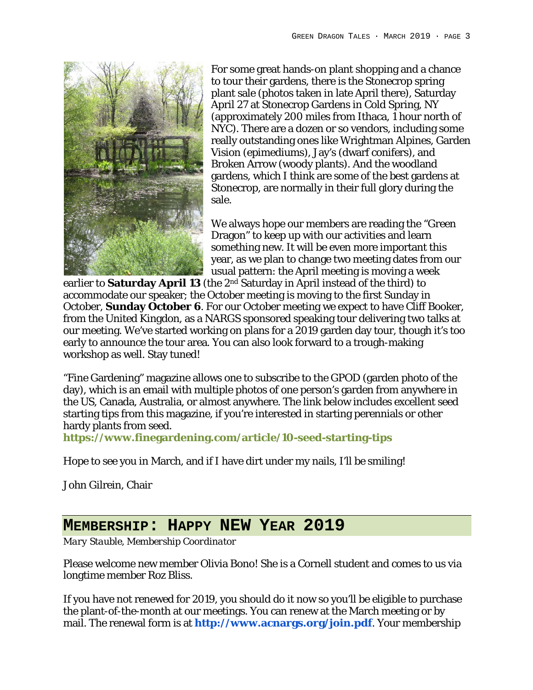

For some great hands-on plant shopping and a chance to tour their gardens, there is the Stonecrop spring plant sale (photos taken in late April there), Saturday April 27 at Stonecrop Gardens in Cold Spring, NY (approximately 200 miles from Ithaca, 1 hour north of NYC). There are a dozen or so vendors, including some really outstanding ones like Wrightman Alpines, Garden Vision (epimediums), Jay's (dwarf conifers), and Broken Arrow (woody plants). And the woodland gardens, which I think are some of the best gardens at Stonecrop, are normally in their full glory during the sale.

We always hope our members are reading the "Green Dragon" to keep up with our activities and learn something new. It will be even more important this year, as we plan to change two meeting dates from our usual pattern: the April meeting is moving a week

earlier to **Saturday April 13** (the 2nd Saturday in April instead of the third) to accommodate our speaker; the October meeting is moving to the first Sunday in October, **Sunday October 6**. For our October meeting we expect to have Cliff Booker, from the United Kingdon, as a NARGS sponsored speaking tour delivering two talks at our meeting. We've started working on plans for a 2019 garden day tour, though it's too early to announce the tour area. You can also look forward to a trough-making workshop as well. Stay tuned!

"Fine Gardening" magazine allows one to subscribe to the GPOD (garden photo of the day), which is an email with multiple photos of one person's garden from anywhere in the US, Canada, Australia, or almost anywhere. The link below includes excellent seed starting tips from this magazine, if you're interested in starting perennials or other hardy plants from seed.

**https://www.finegardening.com/article/10-seed-starting-tips**

Hope to see you in March, and if I have dirt under my nails, I'll be smiling!

John Gilrein, Chair

### **MEMBERSHIP: HAPPY NEW YEAR 2019**

*Mary Stauble, Membership Coordinator*

Please welcome new member Olivia Bono! She is a Cornell student and comes to us via longtime member Roz Bliss.

If you have not renewed for 2019, you should do it now so you'll be eligible to purchase the plant-of-the-month at our meetings. You can renew at the March meeting or by mail. The renewal form is at **http://www.acnargs.org/join.pdf**. Your membership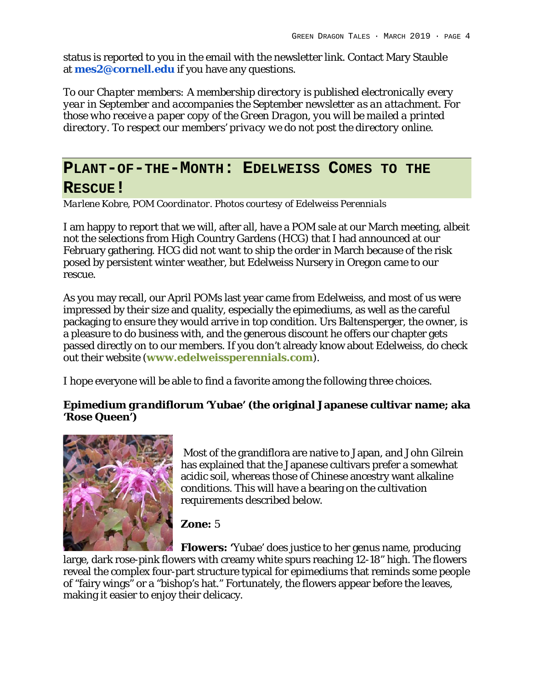status is reported to you in the email with the newsletter link. Contact Mary Stauble at **mes2@cornell.edu** if you have any questions.

*To our Chapter members: A membership directory is published electronically every year in September and accompanies the September newsletter as an attachment. For those who receive a paper copy of the Green Dragon, you will be mailed a printed directory. To respect our members' privacy we do not post the directory online.*

### **PLANT-OF-THE-MONTH: EDELWEISS COMES TO THE RESCUE!**

*Marlene Kobre, POM Coordinator. Photos courtesy of Edelweiss Perennials*

I am happy to report that we will, after all, have a POM sale at our March meeting, albeit not the selections from High Country Gardens (HCG) that I had announced at our February gathering. HCG did not want to ship the order in March because of the risk posed by persistent winter weather, but Edelweiss Nursery in Oregon came to our rescue.

As you may recall, our April POMs last year came from Edelweiss, and most of us were impressed by their size and quality, especially the epimediums, as well as the careful packaging to ensure they would arrive in top condition. Urs Baltensperger, the owner, is a pleasure to do business with, and the generous discount he offers our chapter gets passed directly on to our members. If you don't already know about Edelweiss, do check out their website (**www.edelweissperennials.com**).

I hope everyone will be able to find a favorite among the following three choices.

*Epimedium grandiflorum* **'Yubae' (the original Japanese cultivar name; aka 'Rose Queen')**



Most of the grandiflora are native to Japan, and John Gilrein has explained that the Japanese cultivars prefer a somewhat acidic soil, whereas those of Chinese ancestry want alkaline conditions. This will have a bearing on the cultivation requirements described below.

**Zone:** 5

**Flowers: '**Yubae' does justice to her genus name, producing large, dark rose-pink flowers with creamy white spurs reaching 12-18" high. The flowers reveal the complex four-part structure typical for epimediums that reminds some people of "fairy wings" or a "bishop's hat." Fortunately, the flowers appear before the leaves, making it easier to enjoy their delicacy.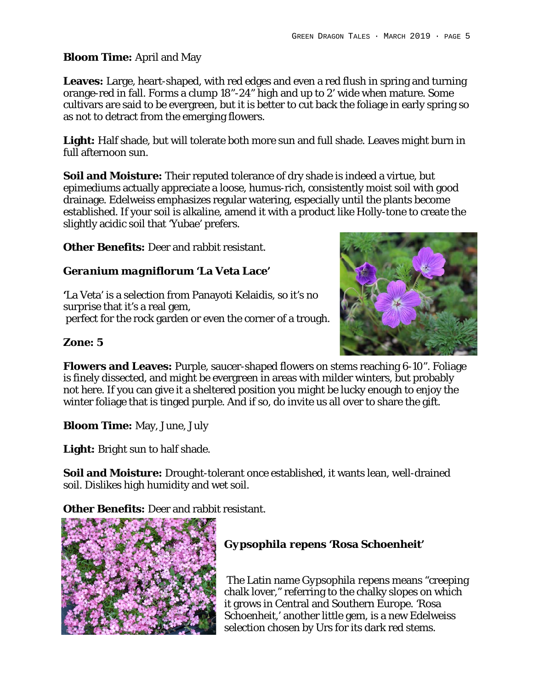#### **Bloom Time:** April and May

**Leaves:** Large, heart-shaped, with red edges and even a red flush in spring and turning orange-red in fall. Forms a clump 18"-24" high and up to 2' wide when mature. Some cultivars are said to be evergreen, but it is better to cut back the foliage in early spring so as not to detract from the emerging flowers.

**Light:** Half shade, but will tolerate both more sun and full shade. Leaves might burn in full afternoon sun.

**Soil and Moisture:** Their reputed tolerance of dry shade is indeed a virtue, but epimediums actually appreciate a loose, humus-rich, consistently moist soil with good drainage. Edelweiss emphasizes regular watering, especially until the plants become established. If your soil is alkaline, amend it with a product like Holly-tone to create the slightly acidic soil that 'Yubae' prefers.

**Other Benefits:** Deer and rabbit resistant.

*Geranium magniflorum* **'La Veta Lace'**

**'**La Veta' is a selection from Panayoti Kelaidis, so it's no surprise that it's a real gem, perfect for the rock garden or even the corner of a trough.



**Zone: 5**

**Flowers and Leaves:** Purple, saucer-shaped flowers on stems reaching 6-10". Foliage is finely dissected, and might be evergreen in areas with milder winters, but probably not here. If you can give it a sheltered position you might be lucky enough to enjoy the winter foliage that is tinged purple. And if so, do invite us all over to share the gift.

**Bloom Time:** May, June, July

**Light:** Bright sun to half shade.

**Soil and Moisture:** Drought-tolerant once established, it wants lean, well-drained soil. Dislikes high humidity and wet soil.

**Other Benefits:** Deer and rabbit resistant.



*Gypsophila repens* **'Rosa Schoenheit'**

The Latin name *Gypsophila repens* means "creeping chalk lover," referring to the chalky slopes on which it grows in Central and Southern Europe. 'Rosa Schoenheit,' another little gem, is a new Edelweiss selection chosen by Urs for its dark red stems.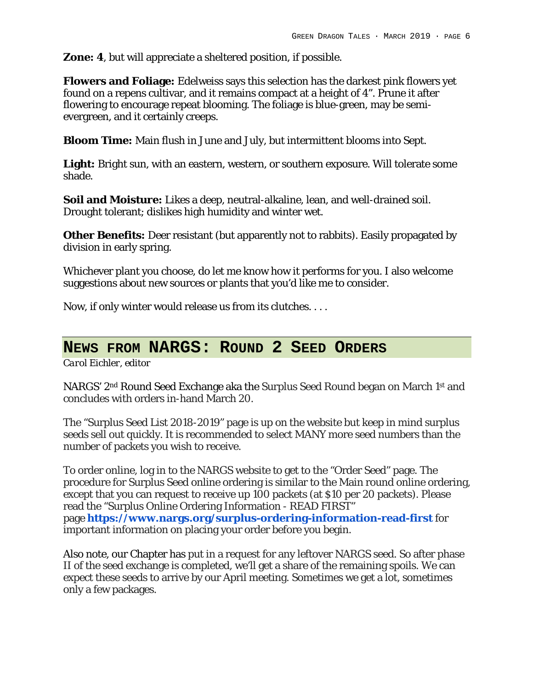**Zone: 4**, but will appreciate a sheltered position, if possible.

**Flowers and Foliage:** Edelweiss says this selection has the darkest pink flowers yet found on a repens cultivar, and it remains compact at a height of 4". Prune it after flowering to encourage repeat blooming. The foliage is blue-green, may be semievergreen, and it certainly creeps.

**Bloom Time:** Main flush in June and July, but intermittent blooms into Sept.

**Light:** Bright sun, with an eastern, western, or southern exposure. Will tolerate some shade.

**Soil and Moisture:** Likes a deep, neutral-alkaline, lean, and well-drained soil. Drought tolerant; dislikes high humidity and winter wet.

**Other Benefits:** Deer resistant (but apparently not to rabbits). Easily propagated by division in early spring.

Whichever plant you choose, do let me know how it performs for you. I also welcome suggestions about new sources or plants that you'd like me to consider.

Now, if only winter would release us from its clutches. . . .

### **NEWS FROM NARGS: ROUND 2 SEED ORDERS**

*Carol Eichler, editor*

NARGS' 2nd Round Seed Exchange aka the Surplus Seed Round began on March 1st and concludes with orders in-hand March 20.

The "Surplus Seed List 2018-2019" page is up on the website but keep in mind surplus seeds sell out quickly. It is recommended to select MANY more seed numbers than the number of packets you wish to receive.

To order online, log in to the NARGS website to get to the "Order Seed" page. The procedure for Surplus Seed online ordering is similar to the Main round online ordering, except that you can request to receive up 100 packets (at \$10 per 20 packets). Please read the "Surplus Online Ordering Information - READ FIRST" page **https://www.nargs.org/surplus-ordering-information-read-first** for important information on placing your order before you begin.

Also note, our Chapter has put in a request for any leftover NARGS seed. So after phase II of the seed exchange is completed, we'll get a share of the remaining spoils. We can expect these seeds to arrive by our April meeting. Sometimes we get a lot, sometimes only a few packages.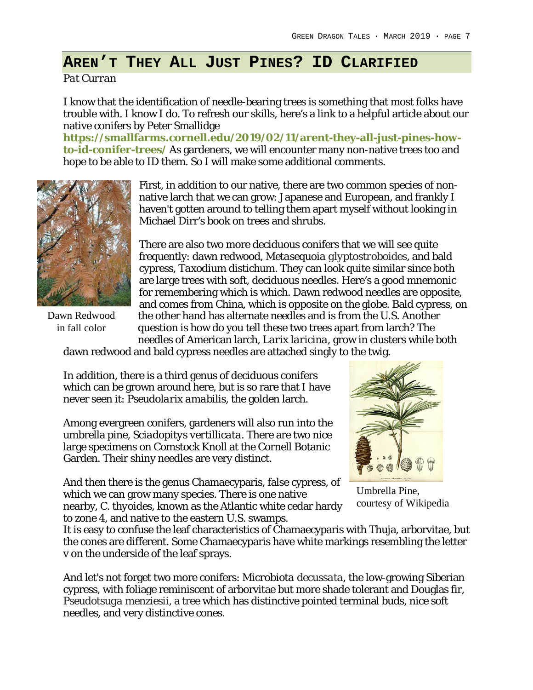### **AREN'T THEY ALL JUST PINES? ID CLARIFIED**

*Pat Curran*

I know that the identification of needle-bearing trees is something that most folks have trouble with. I know I do. To refresh our skills, here's a link to a helpful article about our native conifers by Peter Smallidge

**https://smallfarms.cornell.edu/2019/02/11/arent-they-all-just-pines-howto-id-conifer-trees/** As gardeners, we will encounter many non-native trees too and hope to be able to ID them. So I will make some additional comments.



Dawn Redwood in fall color

First, in addition to our native, there are two common species of nonnative larch that we can grow: Japanese and European, and frankly I haven't gotten around to telling them apart myself without looking in Michael Dirr's book on trees and shrubs.

There are also two more deciduous conifers that we will see quite frequently: dawn redwood*, Metasequoia glyptostroboides*, and bald cypress, *Taxodium distichum*. They can look quite similar since both are large trees with soft, deciduous needles. Here's a good mnemonic for remembering which is which. Dawn redwood needles are opposite, and comes from China, which is opposite on the globe. Bald cypress, on the other hand has alternate needles and is from the U.S. Another question is how do you tell these two trees apart from larch? The needles of American larch, *Larix laricina*, grow in clusters while both

dawn redwood and bald cypress needles are attached singly to the twig.

In addition, there is a third genus of deciduous conifers which can be grown around here, but is so rare that I have never seen it: *Pseudolarix amabilis*, the golden larch.

Among evergreen conifers, gardeners will also run into the umbrella pine, *Sciadopitys vertillicata*. There are two nice large specimens on Comstock Knoll at the Cornell Botanic Garden. Their shiny needles are very distinct.

And then there is the genus Chamaecyparis, false cypress, of which we can grow many species. There is one native nearby, *C. thyoides*, known as the Atlantic white cedar hardy to zone 4, and native to the eastern U.S. swamps.



Umbrella Pine, courtesy of Wikipedia

It is easy to confuse the leaf characteristics of Chamaecyparis with Thuja, arborvitae, but the cones are different. Some Chamaecyparis have white markings resembling the letter v on the underside of the leaf sprays.

And let's not forget two more conifers: *Microbiota decussata*, the low-growing Siberian cypress, with foliage reminiscent of arborvitae but more shade tolerant and Douglas fir, *Pseudotsuga menziesii*, a tree which has distinctive pointed terminal buds, nice soft needles, and very distinctive cones.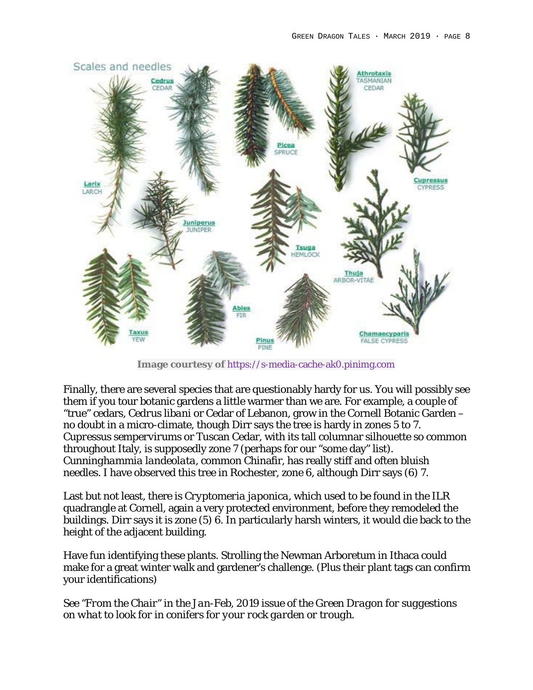

**Image courtesy of** https://s-media-cache-ak0.pinimg.com

Finally, there are several species that are questionably hardy for us. You will possibly see them if you tour botanic gardens a little warmer than we are. For example, a couple of "true" cedars*, Cedrus libani* or Cedar of Lebanon, grow in the Cornell Botanic Garden – no doubt in a micro-climate, though Dirr says the tree is hardy in zones 5 to 7. *Cupressus sempervirums* or Tuscan Cedar, with its tall columnar silhouette so common throughout Italy, is supposedly zone 7 (perhaps for our "some day" list). *Cunninghammia landeolata*, common Chinafir, has really stiff and often bluish needles. I have observed this tree in Rochester, zone 6, although Dirr says (6) 7.

Last but not least, there is *Cryptomeria japonica*, which used to be found in the ILR quadrangle at Cornell, again a very protected environment, before they remodeled the buildings. Dirr says it is zone (5) 6. In particularly harsh winters, it would die back to the height of the adjacent building.

Have fun identifying these plants. Strolling the Newman Arboretum in Ithaca could make for a great winter walk and gardener's challenge. (Plus their plant tags can confirm your identifications)

*See "From the Chair" in the Jan-Feb, 2019 issue of the Green Dragon for suggestions on what to look for in conifers for your rock garden or trough.*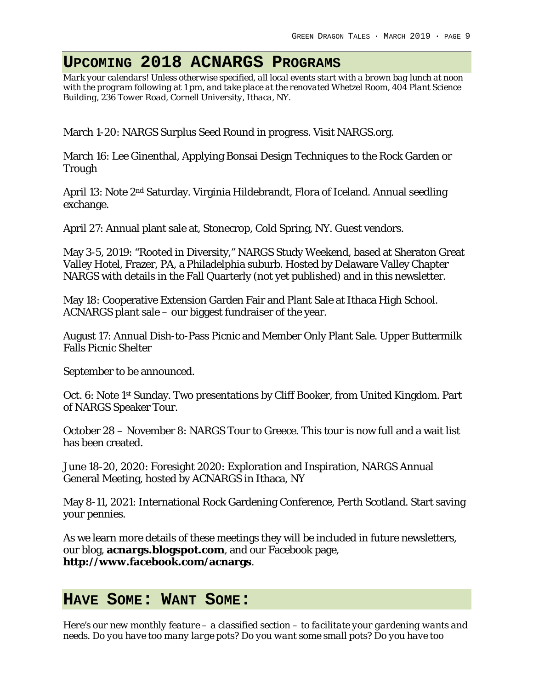# **UPCOMING 2018 ACNARGS PROGRAMS**

*Mark your calendars! Unless otherwise specified, all local events start with a brown bag lunch at noon with the program following at 1 pm, and take place at the renovated Whetzel Room, 404 Plant Science Building, 236 Tower Road, Cornell University, Ithaca, NY.*

March 1-20: NARGS Surplus Seed Round in progress. Visit NARGS.org.

March 16: Lee Ginenthal, Applying Bonsai Design Techniques to the Rock Garden or Trough

April 13: Note 2<sup>nd</sup> Saturday. Virginia Hildebrandt, Flora of Iceland. Annual seedling exchange.

April 27: Annual plant sale at, Stonecrop, Cold Spring, NY. Guest vendors.

May 3-5, 2019: "Rooted in Diversity," NARGS Study Weekend, based at Sheraton Great Valley Hotel, Frazer, PA, a Philadelphia suburb. Hosted by Delaware Valley Chapter NARGS with details in the Fall Quarterly (not yet published) and in this newsletter.

May 18: Cooperative Extension Garden Fair and Plant Sale at Ithaca High School. ACNARGS plant sale – our biggest fundraiser of the year.

August 17: Annual Dish-to-Pass Picnic and Member Only Plant Sale. Upper Buttermilk Falls Picnic Shelter

September to be announced.

Oct. 6: Note 1<sup>st</sup> Sunday. Two presentations by Cliff Booker, from United Kingdom. Part of NARGS Speaker Tour.

October 28 – November 8: NARGS Tour to Greece. This tour is now full and a wait list has been created.

June 18-20, 2020: Foresight 2020: Exploration and Inspiration, NARGS Annual General Meeting, hosted by ACNARGS in Ithaca, NY

May 8-11, 2021: International Rock Gardening Conference, Perth Scotland. Start saving your pennies.

As we learn more details of these meetings they will be included in future newsletters, our blog, **acnargs.blogspot.com**, and our Facebook page, **http://www.facebook.com/acnargs**.

### **HAVE SOME: WANT SOME:**

*Here's our new monthly feature – a classified section – to facilitate your gardening wants and needs. Do you have too many large pots? Do you want some small pots? Do you have too*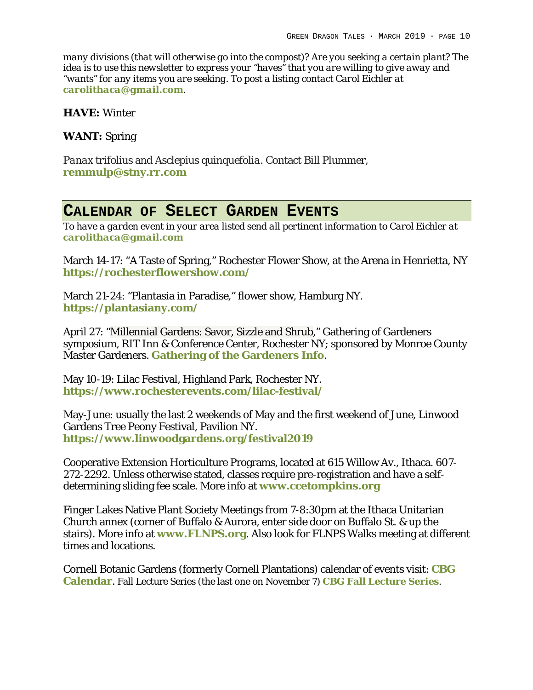*many divisions (that will otherwise go into the compost)? Are you seeking a certain plant? The idea is to use this newsletter to express your "haves" that you are willing to give away and "wants" for any items you are seeking. To post a listing contact Carol Eichler at carolithaca@gmail.com.* 

**HAVE:** Winter

**WANT:** Spring

*Panax trifolius* and *Asclepius quinquefolia*. Contact Bill Plummer, **remmulp@stny.rr.com**

### **CALENDAR OF SELECT GARDEN EVENTS**

*To have a garden event in your area listed send all pertinent information to Carol Eichler at carolithaca@gmail.com*

March 14-17: "A Taste of Spring," Rochester Flower Show, at the Arena in Henrietta, NY **https://rochesterflowershow.com/**

March 21-24: "Plantasia in Paradise," flower show, Hamburg NY. **https://plantasiany.com/**

April 27: "Millennial Gardens: Savor, Sizzle and Shrub," Gathering of Gardeners symposium, RIT Inn & Conference Center, Rochester NY; sponsored by Monroe County Master Gardeners. **Gathering of the Gardeners Info**.

May 10-19: Lilac Festival, Highland Park, Rochester NY. **https://www.rochesterevents.com/lilac-festival/**

May-June: usually the last 2 weekends of May and the first weekend of June, Linwood Gardens Tree Peony Festival, Pavilion NY. **https://www.linwoodgardens.org/festival2019**

Cooperative Extension Horticulture Programs, located at 615 Willow Av., Ithaca. 607- 272-2292. Unless otherwise stated, classes require pre-registration and have a selfdetermining sliding fee scale. More info at **www.ccetompkins.org**

Finger Lakes Native Plant Society Meetings from 7-8:30pm at the Ithaca Unitarian Church annex (corner of Buffalo & Aurora, enter side door on Buffalo St. & up the stairs). More info at **www.FLNPS.org**. Also look for FLNPS Walks meeting at different times and locations.

Cornell Botanic Gardens (formerly Cornell Plantations) calendar of events visit: **CBG Calendar**. Fall Lecture Series (the last one on November 7) **CBG Fall Lecture Series**.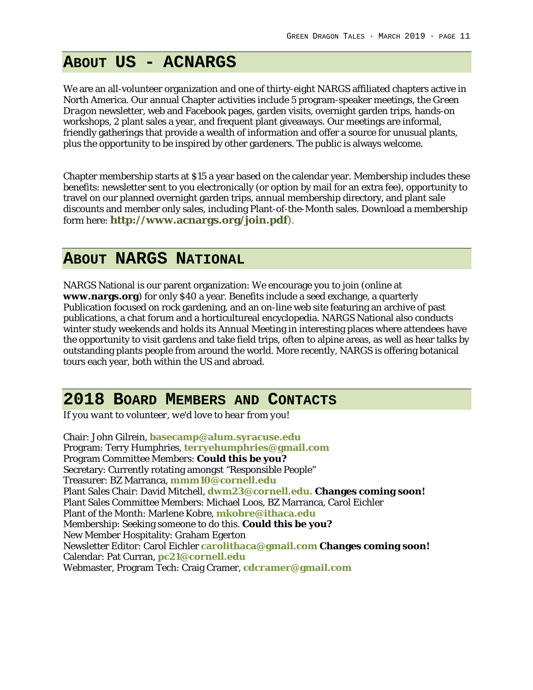## **ABOUT US - ACNARGS**

We are an all-volunteer organization and one of thirty-eight NARGS affiliated chapters active in North America. Our annual Chapter activities include 5 program-speaker meetings, the *Green Dragon* newsletter, web and Facebook pages, garden visits, overnight garden trips, hands-on workshops, 2 plant sales a year, and frequent plant giveaways. Our meetings are informal, friendly gatherings that provide a wealth of information and offer a source for unusual plants, plus the opportunity to be inspired by other gardeners. The public is always welcome.

Chapter membership starts at \$15 a year based on the calendar year. Membership includes these benefits: newsletter sent to you electronically (or option by mail for an extra fee), opportunity to travel on our planned overnight garden trips, annual membership directory, and plant sale discounts and member only sales, including Plant-of-the-Month sales. Download a membership form here: **http://www.acnargs.org/join.pdf**).

### **ABOUT NARGS NATIONAL**

NARGS National is our parent organization: We encourage you to join (online at **www.nargs.org**) for only \$40 a year. Benefits include a seed exchange, a quarterly Publication focused on rock gardening, and an on-line web site featuring an archive of past publications, a chat forum and a horticultureal encyclopedia. NARGS National also conducts winter study weekends and holds its Annual Meeting in interesting places where attendees have the opportunity to visit gardens and take field trips, often to alpine areas, as well as hear talks by outstanding plants people from around the world. More recently, NARGS is offering botanical tours each year, both within the US and abroad.

### **2018 BOARD MEMBERS AND CONTACTS**

*If you want to volunteer, we'd love to hear from you!*

Chair: John Gilrein, **basecamp@alum.syracuse.edu** Program: Terry Humphries, **terryehumphries@gmail.com** Program Committee Members: **Could this be you?** Secretary: Currently rotating amongst "Responsible People" Treasurer: BZ Marranca, **mmm10@cornell.edu** Plant Sales Chair: David Mitchell, **dwm23@cornell.edu. Changes coming soon!** Plant Sales Committee Members: Michael Loos, BZ Marranca, Carol Eichler Plant of the Month: Marlene Kobre, **mkobre@ithaca.edu** Membership: Seeking someone to do this. **Could this be you?** New Member Hospitality: Graham Egerton Newsletter Editor: Carol Eichler **carolithaca@gmail.com Changes coming soon!** Calendar: Pat Curran, **pc21@cornell.edu** Webmaster, Program Tech: Craig Cramer, **cdcramer@gmail.com**